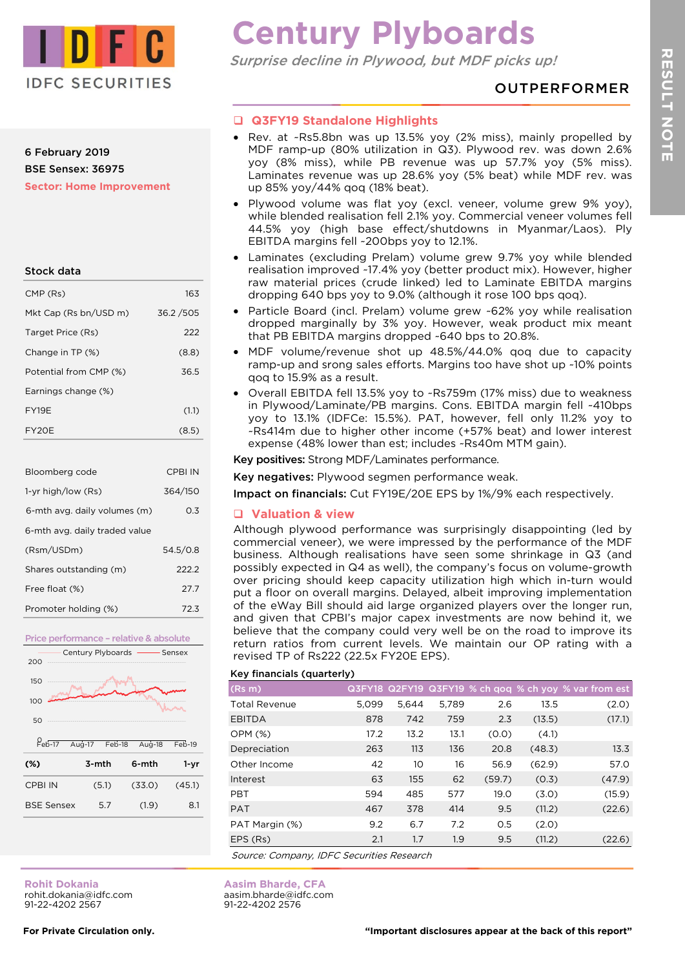

## 6 February 2019 BSE Sensex: 36975 **Sector: Home Improvement**

| Stock data             |          |
|------------------------|----------|
| CMP (Rs)               | 163      |
| Mkt Cap (Rs bn/USD m)  | 36.2/505 |
| Target Price (Rs)      | 222      |
| Change in TP (%)       | (8.8)    |
| Potential from CMP (%) | 36.5     |
| Earnings change (%)    |          |

FY19E (1.1) FY20E (8.5)

| Bloomberg code                | CPBI IN  |  |
|-------------------------------|----------|--|
| 1-yr high/low (Rs)            | 364/150  |  |
| 6-mth avg. daily volumes (m)  | 0.3      |  |
| 6-mth avg. daily traded value |          |  |
| (Rsm/USDm)                    | 54.5/0.8 |  |
| Shares outstanding (m)        | 2222     |  |
| Free float (%)                | 27.7     |  |
| Promoter holding (%)          | 72.3     |  |



**Century Plyboards**

Surprise decline in Plywood, but MDF picks up!

# OUTPERFORMER

# **Q3FY19 Standalone Highlights**

- Rev. at ~Rs5.8bn was up 13.5% yoy (2% miss), mainly propelled by MDF ramp-up (80% utilization in Q3). Plywood rev. was down 2.6% yoy (8% miss), while PB revenue was up 57.7% yoy (5% miss). Laminates revenue was up 28.6% yoy (5% beat) while MDF rev. was up 85% yoy/44% qoq (18% beat).
- Plywood volume was flat yoy (excl. veneer, volume grew 9% yoy), while blended realisation fell 2.1% yoy. Commercial veneer volumes fell 44.5% yoy (high base effect/shutdowns in Myanmar/Laos). Ply EBITDA margins fell ~200bps yoy to 12.1%.
- Laminates (excluding Prelam) volume grew 9.7% yoy while blended realisation improved ~17.4% yoy (better product mix). However, higher raw material prices (crude linked) led to Laminate EBITDA margins dropping 640 bps yoy to 9.0% (although it rose 100 bps qoq).
- Particle Board (incl. Prelam) volume grew ~62% yoy while realisation dropped marginally by 3% yoy. However, weak product mix meant that PB EBITDA margins dropped ~640 bps to 20.8%.
- MDF volume/revenue shot up 48.5%/44.0% qoq due to capacity ramp-up and srong sales efforts. Margins too have shot up ~10% points qoq to 15.9% as a result.
- Overall EBITDA fell 13.5% yoy to ~Rs759m (17% miss) due to weakness in Plywood/Laminate/PB margins. Cons. EBITDA margin fell ~410bps yoy to 13.1% (IDFCe: 15.5%). PAT, however, fell only 11.2% yoy to ~Rs414m due to higher other income (+57% beat) and lower interest expense (48% lower than est; includes ~Rs40m MTM gain).

Key positives: Strong MDF/Laminates performance.

Key negatives: Plywood segmen performance weak.

Impact on financials: Cut FY19E/20E EPS by 1%/9% each respectively.

# **Valuation & view**

Although plywood performance was surprisingly disappointing (led by commercial veneer), we were impressed by the performance of the MDF business. Although realisations have seen some shrinkage in Q3 (and possibly expected in Q4 as well), the company's focus on volume-growth over pricing should keep capacity utilization high which in-turn would put a floor on overall margins. Delayed, albeit improving implementation of the eWay Bill should aid large organized players over the longer run, and given that CPBI's major capex investments are now behind it, we believe that the company could very well be on the road to improve its return ratios from current levels. We maintain our OP rating with a revised TP of Rs222 (22.5x FY20E EPS).

# Key financials (quarterly)

**Aasim Bharde, CFA** aasim.bharde@idfc.com 91-22-4202 2576

| <u>Rey informations</u> (guarterly)       |       |       |       |        |        |                                                                |
|-------------------------------------------|-------|-------|-------|--------|--------|----------------------------------------------------------------|
| (Rs m)                                    |       |       |       |        |        | $Q3FY18$ $Q2FY19$ $Q3FY19$ % ch qoq % ch yoy $\%$ var from est |
| <b>Total Revenue</b>                      | 5,099 | 5,644 | 5,789 | 2.6    | 13.5   | (2.0)                                                          |
| <b>EBITDA</b>                             | 878   | 742   | 759   | 2.3    | (13.5) | (17.1)                                                         |
| <b>OPM (%)</b>                            | 17.2  | 13.2  | 13.1  | (0.0)  | (4.1)  |                                                                |
| Depreciation                              | 263   | 113   | 136   | 20.8   | (48.3) | 13.3                                                           |
| Other Income                              | 42    | 10    | 16    | 56.9   | (62.9) | 57.0                                                           |
| Interest                                  | 63    | 155   | 62    | (59.7) | (0.3)  | (47.9)                                                         |
| <b>PBT</b>                                | 594   | 485   | 577   | 19.0   | (3.0)  | (15.9)                                                         |
| <b>PAT</b>                                | 467   | 378   | 414   | 9.5    | (11.2) | (22.6)                                                         |
| PAT Margin (%)                            | 9.2   | 6.7   | 7.2   | O.5    | (2.0)  |                                                                |
| EPS (Rs)                                  | 2.1   | 1.7   | 1.9   | 9.5    | (11.2) | (22.6)                                                         |
| Cauroo: Campany, IDEC Caqurities Desaarch |       |       |       |        |        |                                                                |

Source: Company, IDFC Securities Research

**Rohit Dokania** rohit.dokania@idfc.com 91-22-4202 2567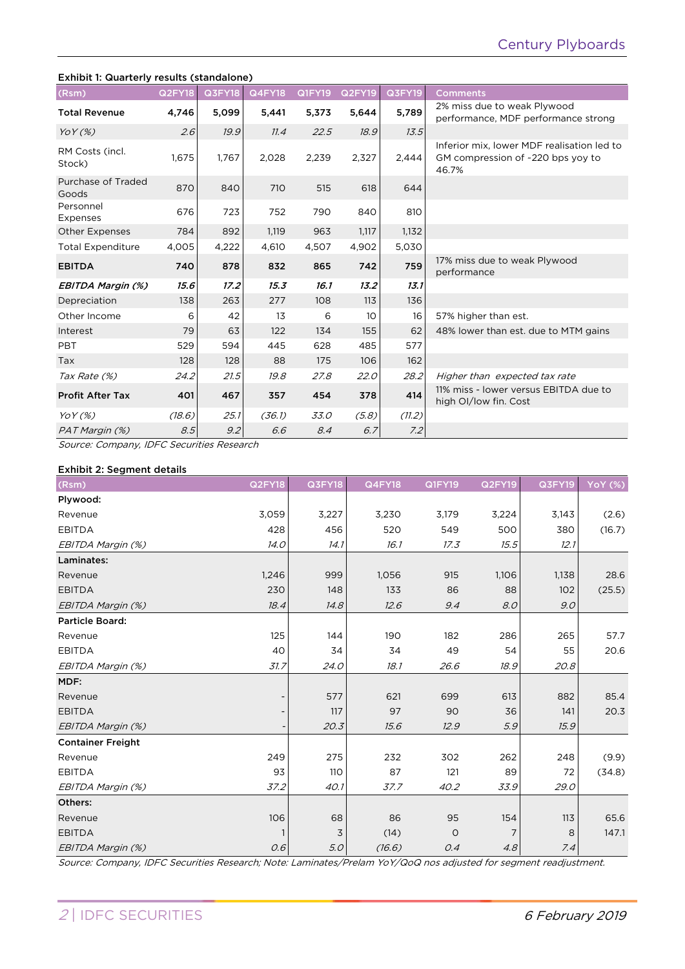## Exhibit 1: Quarterly results (standalone)

| (Rsm)                       | <b>Q2FY18</b> | <b>Q3FY18</b> | <b>Q4FY18</b> | <b>Q1FY19</b> | <b>Q2FY19</b> | <b>Q3FY19</b> | <b>Comments</b>                                                                          |
|-----------------------------|---------------|---------------|---------------|---------------|---------------|---------------|------------------------------------------------------------------------------------------|
| <b>Total Revenue</b>        | 4,746         | 5,099         | 5,441         | 5,373         | 5,644         | 5,789         | 2% miss due to weak Plywood<br>performance, MDF performance strong                       |
| YoY(%)                      | 2.6           | 19.9          | 11.4          | 22.5          | 18.9          | 13.5          |                                                                                          |
| RM Costs (incl.<br>Stock)   | 1,675         | 1,767         | 2,028         | 2,239         | 2,327         | 2.444         | Inferior mix, lower MDF realisation led to<br>GM compression of ~220 bps yoy to<br>46.7% |
| Purchase of Traded<br>Goods | 870           | 840           | 710           | 515           | 618           | 644           |                                                                                          |
| Personnel<br>Expenses       | 676           | 723           | 752           | 790           | 840           | 810           |                                                                                          |
| <b>Other Expenses</b>       | 784           | 892           | 1,119         | 963           | 1,117         | 1,132         |                                                                                          |
| <b>Total Expenditure</b>    | 4,005         | 4,222         | 4,610         | 4,507         | 4,902         | 5,030         |                                                                                          |
| <b>EBITDA</b>               | 740           | 878           | 832           | 865           | 742           | 759           | 17% miss due to weak Plywood<br>performance                                              |
| EBITDA Margin (%)           | 15.6          | 17.2          | 15.3          | 16.1          | 13.2          | 13.1          |                                                                                          |
| Depreciation                | 138           | 263           | 277           | 108           | 113           | 136           |                                                                                          |
| Other Income                | 6             | 42            | 13            | 6             | 10            | 16            | 57% higher than est.                                                                     |
| Interest                    | 79            | 63            | 122           | 134           | 155           | 62            | 48% lower than est. due to MTM gains                                                     |
| PBT                         | 529           | 594           | 445           | 628           | 485           | 577           |                                                                                          |
| Tax                         | 128           | 128           | 88            | 175           | 106           | 162           |                                                                                          |
| Tax Rate (%)                | 24.2          | 21.5          | 19.8          | 27.8          | 22.0          | 28.2          | Higher than expected tax rate                                                            |
| <b>Profit After Tax</b>     | 401           | 467           | 357           | 454           | 378           | 414           | 11% miss - lower versus EBITDA due to<br>high OI/low fin. Cost                           |
| $YoY(\%)$                   | (18.6)        | 25.1          | (36.1)        | <i>33.0</i>   | (5.8)         | (11.2)        |                                                                                          |
| PAT Margin (%)              | 8.5           | 9.2           | 6.6           | 8.4           | 6.7           | 7.2           |                                                                                          |

Source: Company, IDFC Securities Research

## Exhibit 2: Segment details

| (Rsm)                    | Q2FY18       | Q3FY18 | <b>Q4FY18</b> | <b>Q1FY19</b> | Q2FY19 | Q3FY19 | <b>YoY (%)</b> |
|--------------------------|--------------|--------|---------------|---------------|--------|--------|----------------|
| Plywood:                 |              |        |               |               |        |        |                |
| Revenue                  | 3,059        | 3,227  | 3,230         | 3,179         | 3,224  | 3,143  | (2.6)          |
| <b>EBITDA</b>            | 428          | 456    | 520           | 549           | 500    | 380    | (16.7)         |
| EBITDA Margin (%)        | 14.0         | 14.1   | 16.1          | 17.3          | 15.5   | 12.1   |                |
| Laminates:               |              |        |               |               |        |        |                |
| Revenue                  | 1,246        | 999    | 1,056         | 915           | 1,106  | 1,138  | 28.6           |
| <b>EBITDA</b>            | 230          | 148    | 133           | 86            | 88     | 102    | (25.5)         |
| EBITDA Margin (%)        | 18.4         | 14.8   | 12.6          | 9.4           | 8.0    | 9.0    |                |
| Particle Board:          |              |        |               |               |        |        |                |
| Revenue                  | 125          | 144    | 190           | 182           | 286    | 265    | 57.7           |
| <b>EBITDA</b>            | 40           | 34     | 34            | 49            | 54     | 55     | 20.6           |
| EBITDA Margin (%)        | 31.7         | 24.0   | 18.1          | 26.6          | 18.9   | 20.8   |                |
| MDF:                     |              |        |               |               |        |        |                |
| Revenue                  |              | 577    | 621           | 699           | 613    | 882    | 85.4           |
| <b>EBITDA</b>            |              | 117    | 97            | 90            | 36     | 141    | 20.3           |
| EBITDA Margin (%)        |              | 20.3   | 15.6          | 12.9          | 5.9    | 15.9   |                |
| <b>Container Freight</b> |              |        |               |               |        |        |                |
| Revenue                  | 249          | 275    | 232           | 302           | 262    | 248    | (9.9)          |
| <b>EBITDA</b>            | 93           | 110    | 87            | 121           | 89     | 72     | (34.8)         |
| EBITDA Margin (%)        | 37.2         | 40.1   | 37.7          | 40.2          | 33.9   | 29.0   |                |
| Others:                  |              |        |               |               |        |        |                |
| Revenue                  | 106          | 68     | 86            | 95            | 154    | 113    | 65.6           |
| <b>EBITDA</b>            | $\mathbf{1}$ | 3      | (14)          | $\circ$       | 7      | 8      | 147.1          |
| EBITDA Margin (%)        | 0.6          | 5.0    | (16.6)        | 0.4           | 4.8    | 7.4    |                |

Source: Company, IDFC Securities Research; Note: Laminates/Prelam YoY/QoQ nos adjusted for segment readjustment.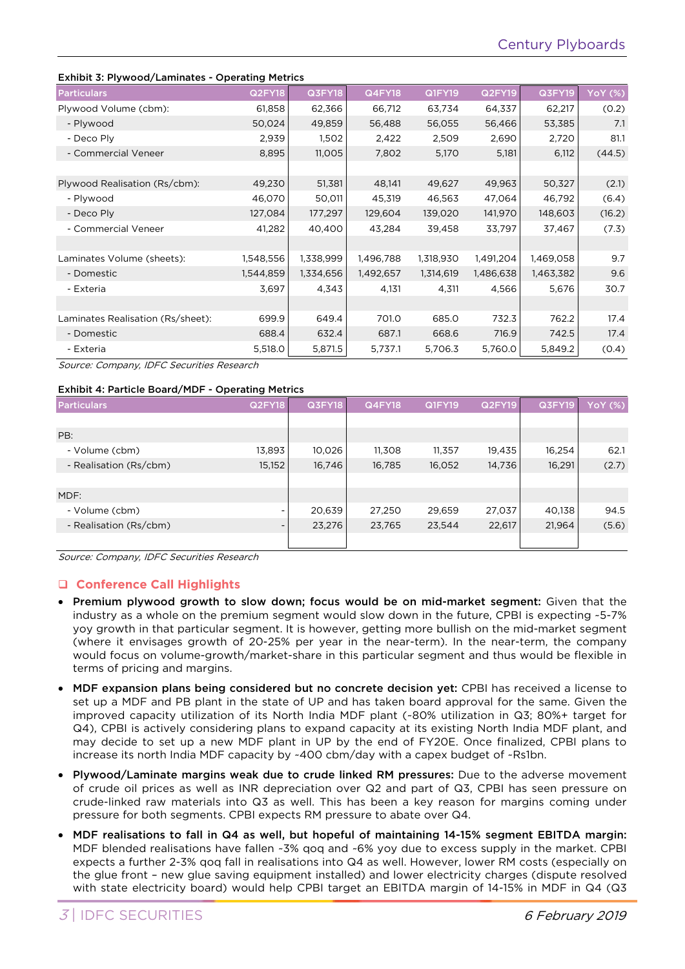## Exhibit 3: Plywood/Laminates - Operating Metrics

|                                   | <b>Operating</b> From 199 |           |               |               |               |               |                |
|-----------------------------------|---------------------------|-----------|---------------|---------------|---------------|---------------|----------------|
| <b>Particulars</b>                | Q2FY18                    | Q3FY18    | <b>Q4FY18</b> | <b>Q1FY19</b> | <b>Q2FY19</b> | <b>Q3FY19</b> | <b>YoY (%)</b> |
| Plywood Volume (cbm):             | 61,858                    | 62,366    | 66,712        | 63,734        | 64,337        | 62,217        | (0.2)          |
| - Plywood                         | 50,024                    | 49,859    | 56,488        | 56,055        | 56,466        | 53,385        | 7.1            |
| - Deco Ply                        | 2,939                     | 1,502     | 2,422         | 2,509         | 2,690         | 2,720         | 81.1           |
| - Commercial Veneer               | 8,895                     | 11,005    | 7,802         | 5,170         | 5,181         | 6,112         | (44.5)         |
|                                   |                           |           |               |               |               |               |                |
| Plywood Realisation (Rs/cbm):     | 49,230                    | 51,381    | 48,141        | 49,627        | 49,963        | 50,327        | (2.1)          |
| - Plywood                         | 46,070                    | 50,011    | 45,319        | 46,563        | 47,064        | 46,792        | (6.4)          |
| - Deco Ply                        | 127,084                   | 177,297   | 129,604       | 139,020       | 141,970       | 148,603       | (16.2)         |
| - Commercial Veneer               | 41,282                    | 40,400    | 43,284        | 39,458        | 33,797        | 37,467        | (7.3)          |
|                                   |                           |           |               |               |               |               |                |
| Laminates Volume (sheets):        | 1,548,556                 | 1,338,999 | 1,496,788     | 1,318,930     | 1,491,204     | 1,469,058     | 9.7            |
| - Domestic                        | 1,544,859                 | 1,334,656 | 1,492,657     | 1,314,619     | 1,486,638     | 1,463,382     | 9.6            |
| - Exteria                         | 3,697                     | 4,343     | 4,131         | 4,311         | 4,566         | 5,676         | 30.7           |
|                                   |                           |           |               |               |               |               |                |
| Laminates Realisation (Rs/sheet): | 699.9                     | 649.4     | 701.0         | 685.0         | 732.3         | 762.2         | 17.4           |
| - Domestic                        | 688.4                     | 632.4     | 687.1         | 668.6         | 716.9         | 742.5         | 17.4           |
| - Exteria                         | 5,518.0                   | 5,871.5   | 5,737.1       | 5,706.3       | 5,760.0       | 5,849.2       | (0.4)          |

Source: Company, IDFC Securities Research

#### Exhibit 4: Particle Board/MDF - Operating Metrics

| <b>Particulars</b>     | <b>Q2FY18</b>            | <b>Q3FY18</b> | <b>Q4FY18</b> | <b>Q1FY19</b> | <b>Q2FY19</b> | <b>Q3FY19</b> | <b>YoY</b> (%) |
|------------------------|--------------------------|---------------|---------------|---------------|---------------|---------------|----------------|
|                        |                          |               |               |               |               |               |                |
| PB:                    |                          |               |               |               |               |               |                |
| - Volume (cbm)         | 13,893                   | 10,026        | 11,308        | 11,357        | 19,435        | 16,254        | 62.1           |
| - Realisation (Rs/cbm) | 15,152                   | 16,746        | 16,785        | 16,052        | 14,736        | 16,291        | (2.7)          |
|                        |                          |               |               |               |               |               |                |
| MDF:                   |                          |               |               |               |               |               |                |
| - Volume (cbm)         | $\overline{\phantom{0}}$ | 20,639        | 27,250        | 29,659        | 27,037        | 40,138        | 94.5           |
| - Realisation (Rs/cbm) | $\overline{\phantom{a}}$ | 23,276        | 23,765        | 23,544        | 22,617        | 21,964        | (5.6)          |
|                        |                          |               |               |               |               |               |                |

Source: Company, IDFC Securities Research

## **Conference Call Highlights**

- Premium plywood growth to slow down; focus would be on mid-market segment: Given that the industry as a whole on the premium segment would slow down in the future, CPBI is expecting ~5-7% yoy growth in that particular segment. It is however, getting more bullish on the mid-market segment (where it envisages growth of 20-25% per year in the near-term). In the near-term, the company would focus on volume-growth/market-share in this particular segment and thus would be flexible in terms of pricing and margins.
- MDF expansion plans being considered but no concrete decision yet: CPBI has received a license to set up a MDF and PB plant in the state of UP and has taken board approval for the same. Given the improved capacity utilization of its North India MDF plant (~80% utilization in Q3; 80%+ target for Q4), CPBI is actively considering plans to expand capacity at its existing North India MDF plant, and may decide to set up a new MDF plant in UP by the end of FY20E. Once finalized, CPBI plans to increase its north India MDF capacity by ~400 cbm/day with a capex budget of ~Rs1bn.
- Plywood/Laminate margins weak due to crude linked RM pressures: Due to the adverse movement of crude oil prices as well as INR depreciation over Q2 and part of Q3, CPBI has seen pressure on crude-linked raw materials into Q3 as well. This has been a key reason for margins coming under pressure for both segments. CPBI expects RM pressure to abate over Q4.
- MDF realisations to fall in Q4 as well, but hopeful of maintaining 14-15% segment EBITDA margin: MDF blended realisations have fallen ~3% qoq and ~6% yoy due to excess supply in the market. CPBI expects a further 2-3% qoq fall in realisations into Q4 as well. However, lower RM costs (especially on the glue front – new glue saving equipment installed) and lower electricity charges (dispute resolved with state electricity board) would help CPBI target an EBITDA margin of 14-15% in MDF in Q4 (Q3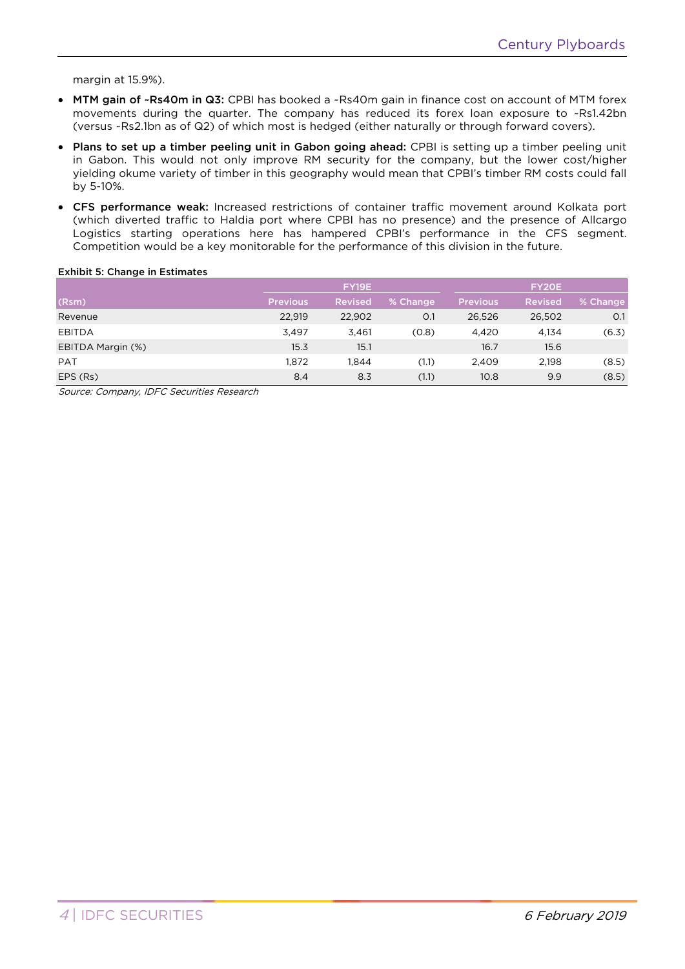margin at 15.9%).

- MTM gain of ~Rs40m in Q3: CPBI has booked a ~Rs40m gain in finance cost on account of MTM forex movements during the quarter. The company has reduced its forex loan exposure to ~Rs1.42bn (versus ~Rs2.1bn as of Q2) of which most is hedged (either naturally or through forward covers).
- Plans to set up a timber peeling unit in Gabon going ahead: CPBI is setting up a timber peeling unit in Gabon. This would not only improve RM security for the company, but the lower cost/higher yielding okume variety of timber in this geography would mean that CPBI's timber RM costs could fall by 5-10%.
- CFS performance weak: Increased restrictions of container traffic movement around Kolkata port (which diverted traffic to Haldia port where CPBI has no presence) and the presence of Allcargo Logistics starting operations here has hampered CPBI's performance in the CFS segment. Competition would be a key monitorable for the performance of this division in the future.

## Exhibit 5: Change in Estimates

|                   |                 | FY19E          |          |                 | FY20E          |          |
|-------------------|-----------------|----------------|----------|-----------------|----------------|----------|
| (Rsm)             | <b>Previous</b> | <b>Revised</b> | % Change | <b>Previous</b> | <b>Revised</b> | % Change |
| Revenue           | 22,919          | 22,902         | O.1      | 26,526          | 26,502         | O.1      |
| <b>EBITDA</b>     | 3,497           | 3.461          | (0.8)    | 4,420           | 4,134          | (6.3)    |
| EBITDA Margin (%) | 15.3            | 15.1           |          | 16.7            | 15.6           |          |
| <b>PAT</b>        | 1.872           | <b>.844</b>    | (1.1)    | 2,409           | 2.198          | (8.5)    |
| EPS (Rs)          | 8.4             | 8.3            | (1.1)    | 10.8            | 9.9            | (8.5)    |

Source: Company, IDFC Securities Research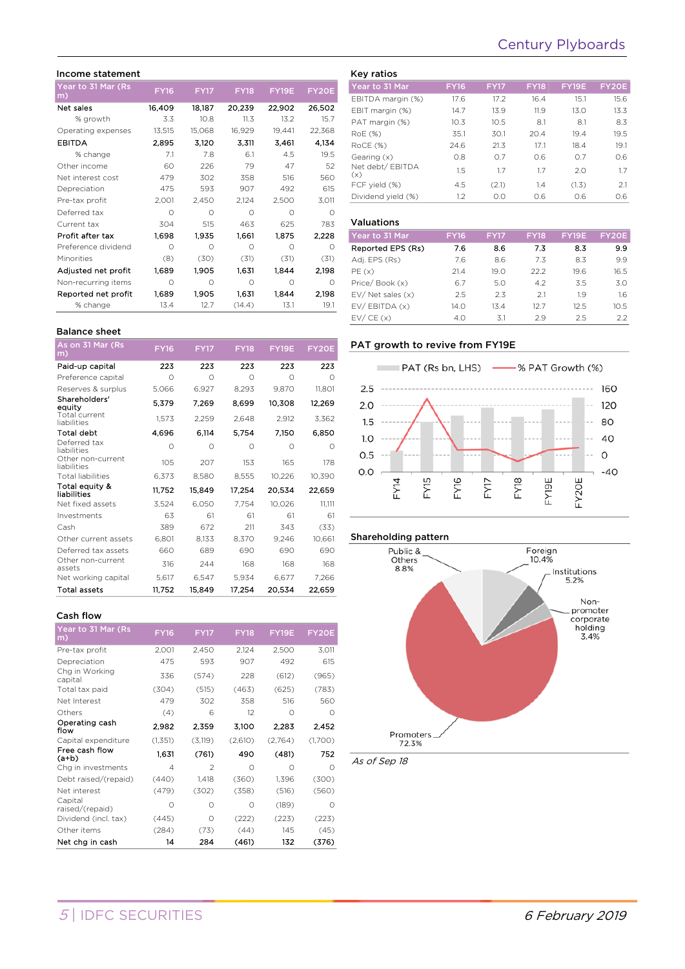# Century Plyboards

#### Income statement

| Year to 31 Mar (Rs<br>m) | <b>FY16</b> | <b>FY17</b> | <b>FY18</b> | FY19E  | FY20E    |
|--------------------------|-------------|-------------|-------------|--------|----------|
| Net sales                | 16,409      | 18,187      | 20,239      | 22.902 | 26,502   |
| % growth                 | 3.3         | 10.8        | 11.3        | 13.2   | 15.7     |
| Operating expenses       | 13,515      | 15,068      | 16,929      | 19,441 | 22,368   |
| <b>EBITDA</b>            | 2.895       | 3,120       | 3.311       | 3.461  | 4.134    |
| % change                 | 7.1         | 7.8         | 6.1         | 4.5    | 19.5     |
| Other income             | 60          | 226         | 79          | 47     | 52       |
| Net interest cost        | 479         | 302         | 358         | 516    | 560      |
| Depreciation             | 475         | 593         | 907         | 492    | 615      |
| Pre-tax profit           | 2,001       | 2,450       | 2,124       | 2,500  | 3,011    |
| Deferred tax             | Ω           | Ω           | Ω           | ∩      | $\Omega$ |
| Current tax              | 304         | 515         | 463         | 625    | 783      |
| Profit after tax         | 1,698       | 1,935       | 1,661       | 1.875  | 2,228    |
| Preference dividend      | Ω           | Ω           | Ω           | Ω      | ∩        |
| Minorities               | (8)         | (30)        | (31)        | (31)   | (31)     |
| Adjusted net profit      | 1.689       | 1.905       | 1.631       | 1.844  | 2,198    |
| Non-recurring items      | Ω           | Ω           | Ω           | 0      | $\Omega$ |
| Reported net profit      | 1,689       | 1.905       | 1,631       | 1.844  | 2,198    |
| % change                 | 13.4        | 12.7        | (14.4)      | 13.1   | 19.1     |

#### Key ratios Year to 31 Mar FY16 FY17 FY18 FY19E FY20E EBITDA margin (%) 17.6 17.2 16.4 15.1 15.6 EBIT margin (%) 14.7 13.9 11.9 13.0 13.3 PAT margin (%) 10.3 10.5 8.1 8.1 8.3 RoE (%) 35.1 30.1 20.4 19.4 19.5 RoCE (%) 24.6 21.3 17.1 18.4 19.1 Gearing (x) 0.8 0.7 0.6 0.7 0.6 Net debt/ EBITDA (x) 1.5 1.7 1.7 2.0 1.7 FCF yield (%) 4.5 (2.1) 1.4 (1.3) 2.1 Dividend yield (%) 1.2 0.0 0.6 0.6 0.6

#### Valuations

| .                     |             |             |             |              |              |
|-----------------------|-------------|-------------|-------------|--------------|--------------|
| Year to 31 Mar        | <b>FY16</b> | <b>FY17</b> | <b>FY18</b> | <b>FY19E</b> | <b>FY20E</b> |
| Reported EPS (Rs)     | 7.6         | 8.6         | 7.3         | 8.3          | 9.9          |
| Adj. EPS (Rs)         | 7.6         | 8.6         | 7.3         | 8.3          | 9.9          |
| PE(x)                 | 21.4        | 19.0        | 22.2        | 19.6         | 16.5         |
| Price/Book (x)        | 6.7         | 5.0         | 4.2         | 3.5          | 3.0          |
| $EV/$ Net sales $(x)$ | 2.5         | 2.3         | 2.1         | 1.9          | 1.6          |
| EV/EBITDA (x)         | 14.0        | 13.4        | 12.7        | 12.5         | 10.5         |
| EV/CE(x)              | 4.0         | 3.1         | 29          | 2.5          | 22           |

## PAT growth to revive from FY19E









As of Sep 18

|  | <b>Balance sheet</b> |
|--|----------------------|
|  |                      |

| As on 31 Mar (Rs<br>m)           | <b>FY16</b> | <b>FY17</b> | <b>FY18</b> | FY19E  | FY20E      |
|----------------------------------|-------------|-------------|-------------|--------|------------|
| Paid-up capital                  | 223         | 223         | 223         | 223    | 223        |
| Preference capital               | Ω           | $\bigcirc$  | Ω           | Ω      | Ω          |
| Reserves & surplus               | 5.066       | 6.927       | 8,293       | 9.870  | 11,801     |
| Shareholders'<br>equity          | 5,379       | 7,269       | 8,699       | 10,308 | 12,269     |
| Total current<br>liabilities     | 1,573       | 2,259       | 2,648       | 2,912  | 3,362      |
| <b>Total debt</b>                | 4,696       | 6,114       | 5,754       | 7.150  | 6,850      |
| Deferred tax<br>liabilities      | $\Omega$    | Ω           | Ω           | Ω      | $\bigcirc$ |
| Other non-current<br>liabilities | 105         | 207         | 153         | 165    | 178        |
| <b>Total liabilities</b>         | 6,373       | 8,580       | 8,555       | 10,226 | 10,390     |
| Total equity &<br>liabilities    | 11,752      | 15.849      | 17.254      | 20.534 | 22.659     |
| Net fixed assets                 | 3.524       | 6,050       | 7,754       | 10,026 | 11,111     |
| Investments                      | 63          | 61          | 61          | 61     | 61         |
| Cash                             | 389         | 672         | 211         | 343    | (33)       |
| Other current assets             | 6,801       | 8,133       | 8,370       | 9,246  | 10,661     |
| Deferred tax assets              | 660         | 689         | 690         | 690    | 690        |
| Other non-current<br>assets      | 316         | 244         | 168         | 168    | 168        |
| Net working capital              | 5,617       | 6.547       | 5.934       | 6.677  | 7,266      |
| Total assets                     | 11.752      | 15.849      | 17.254      | 20,534 | 22,659     |

#### Cash flow

| <b>00911 11077</b>         |                |                |             |          |           |
|----------------------------|----------------|----------------|-------------|----------|-----------|
| Year to 31 Mar (Rs<br>m)   | <b>FY16</b>    | <b>FY17</b>    | <b>FY18</b> | FY19E    | FY20E     |
| Pre-tax profit             | 2,001          | 2,450          | 2,124       | 2,500    | 3,011     |
| Depreciation               | 475            | 593            | 907         | 492      | 615       |
| Chg in Working<br>capital  | 336            | (574)          | 228         | (612)    | (965)     |
| Total tax paid             | (304)          | (515)          | (463)       | (625)    | (783)     |
| Net Interest               | 479            | 302            | 358         | 516      | 560       |
| Others                     | (4)            | 6              | 12          | $\Omega$ | $\Omega$  |
| Operating cash<br>flow     | 2,982          | 2.359          | 3,100       | 2 2 8 3  | 2.452     |
| Capital expenditure        | (1, 351)       | (3, 119)       | (2,610)     | (2,764)  | (1,700)   |
| Free cash flow<br>(a+b)    | 1.631          | (761)          | 490         | (481)    | 752       |
| Chg in investments         | $\overline{4}$ | $\mathfrak{D}$ | ∩           | Ω        | $\bigcap$ |
| Debt raised/(repaid)       | (440)          | 1,418          | (360)       | 1,396    | (300)     |
| Net interest               | (479)          | (302)          | (358)       | (516)    | (560)     |
| Capital<br>raised/(repaid) | Ω              | Ω              | Ω           | (189)    | $\Omega$  |
| Dividend (incl. tax)       | (445)          | $\bigcirc$     | (222)       | (223)    | (223)     |
| Other items                | (284)          | (73)           | (44)        | 145      | (45)      |
| Net chg in cash            | 14             | 284            | (461)       | 132      | (376)     |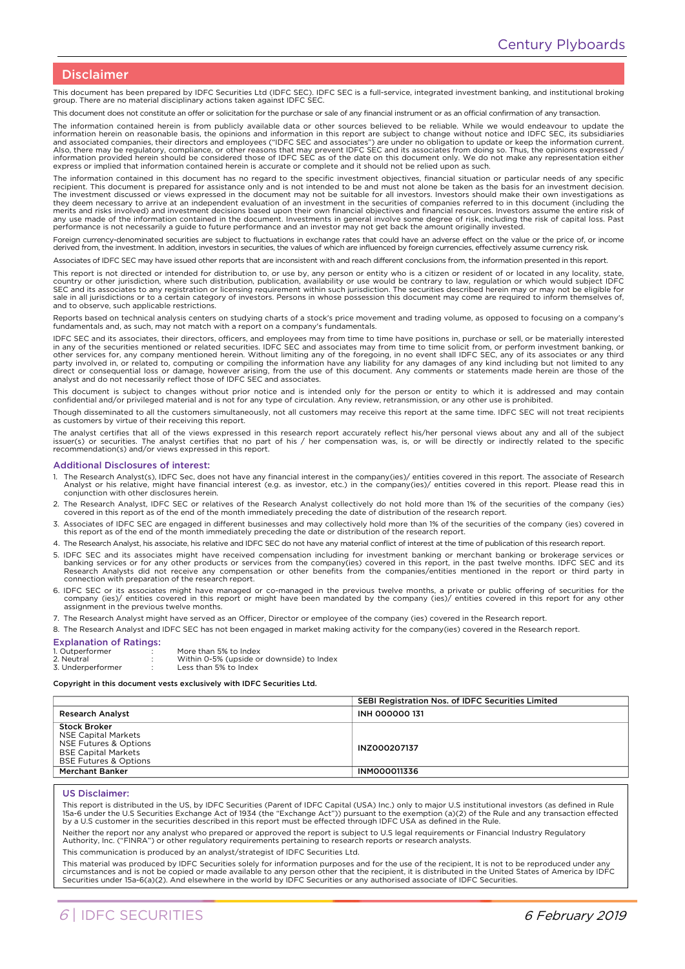## Disclaimer

This document has been prepared by IDFC Securities Ltd (IDFC SEC). IDFC SEC is a full-service, integrated investment banking, and institutional broking group. There are no material disciplinary actions taken against IDFC SEC.

This document does not constitute an offer or solicitation for the purchase or sale of any financial instrument or as an official confirmation of any transaction.

The information contained herein is from publicly available data or other sources believed to be reliable. While we would endeavour to update the information herein on reasonable basis, the opinions and information in this report are subject to change without notice and IDFC SEC, its subsidiaries<br>and associated companies, their directors and employees ("IDFC SEC and express or implied that information contained herein is accurate or complete and it should not be relied upon as such.

The information contained in this document has no regard to the specific investment objectives, financial situation or particular needs of any specific recipient. This document is prepared for assistance only and is not intended to be and must not alone be taken as the basis for an investment decision.<br>The investment discussed or views expressed in the document may not be merits and risks involved) and investment decisions based upon their own financial objectives and financial resources. Investors assume the entire risk of any use made of the information contained in the document. Investments in general involve some degree of risk, including the risk of capital loss. Past performance is not necessarily a guide to future performance and an investor may not get back the amount originally invested.

Foreign currency-denominated securities are subject to fluctuations in exchange rates that could have an adverse effect on the value or the price of, or income derived from, the investment. In addition, investors in securities, the values of which are influenced by foreign currencies, effectively assume currency risk.

Associates of IDFC SEC may have issued other reports that are inconsistent with and reach different conclusions from, the information presented in this report.

This report is not directed or intended for distribution to, or use by, any person or entity who is a citizen or resident of or located in any locality, state,<br>country or other jurisdiction, where such distribution, public SEC and its associates to any registration or licensing requirement within such jurisdiction. The securities described herein may or may not be eligible for<br>sale in all jurisdictions or to a certain category of investors. and to observe, such applicable restrictions.

Reports based on technical analysis centers on studying charts of a stock's price movement and trading volume, as opposed to focusing on a company's<br>fundamentals and, as such, may not match with a report on a company's fun

IDFC SEC and its associates, their directors, officers, and employees may from time to time have positions in, purchase or sell, or be materially interested<br>in any of the securities mentioned or related securities. IDFC SE other services for, any company mentioned herein. Without limiting any of the foregoing, in no event shall IDFC SEC, any of its associates or any third<br>party involved in, or related to, computing or compiling the informati analyst and do not necessarily reflect those of IDFC SEC and associates.

This document is subject to changes without prior notice and is intended only for the person or entity to which it is addressed and may contain confidential and/or privileged material and is not for any type of circulation. Any review, retransmission, or any other use is prohibited.

Though disseminated to all the customers simultaneously, not all customers may receive this report at the same time. IDFC SEC will not treat recipients as customers by virtue of their receiving this report.

The analyst certifies that all of the views expressed in this research report accurately reflect his/her personal views about any and all of the subject issuer(s) or securities. The analyst certifies that no part of his / her compensation was, is, or will be directly or indirectly related to the specific recommendation(s) and/or views expressed in this report.

#### Additional Disclosures of interest:

- 1. The Research Analyst(s), IDFC Sec, does not have any financial interest in the company(ies)/ entities covered in this report. The associate of Research<br>Analyst or his relative, might have financial interest (e.g. as inv conjunction with other disclosures herein.
- 2. The Research Analyst, IDFC SEC or relatives of the Research Analyst collectively do not hold more than 1% of the securities of the company (ies)<br>covered in this report as of the end of the month immediately preceding th
- 3. Associates of IDFC SEC are engaged in different businesses and may collectively hold more than 1% of the securities of the company (ies) covered in this report as of the end of the month immediately preceding the date or distribution of the research report.
- 4. The Research Analyst, his associate, his relative and IDFC SEC do not have any material conflict of interest at the time of publication of this research report.
- 5. IDFC SEC and its associates might have received compensation including for investment banking or merchant banking or brokerage services or banking services or for any other products or services from the company(ies) covered in this report, in the past twelve months. IDFC SEC and its<br>Research Analysts did not receive any compensation or other benefits from the
- 6. IDFC SEC or its associates might have managed or co-managed in the previous twelve months, a private or public offering of securities for the company (ies)/ entities covered in this report or might have been mandated by the company (ies)/ entities covered in this report for any other assignment in the previous twelve months.
- 7. The Research Analyst might have served as an Officer, Director or employee of the company (ies) covered in the Research report.

8. The Research Analyst and IDFC SEC has not been engaged in market making activity for the company(ies) covered in the Research report.

#### Explanation of Ratings:

| $-1$ , $-1$ , $-1$ , $-1$ , $-1$ , $-1$ , $-1$ , $-1$ , $-1$ , $-1$ , $-1$ , $-1$ |                                           |
|-----------------------------------------------------------------------------------|-------------------------------------------|
| 1. Outperformer                                                                   | More than 5% to Index                     |
| 2. Neutral                                                                        | Within 0-5% (upside or downside) to Index |
| 3. Underperformer                                                                 | Less than 5% to Index                     |
|                                                                                   |                                           |

#### Copyright in this document vests exclusively with IDFC Securities Ltd.

|                                                                                                                                              | SEBI Registration Nos. of IDFC Securities Limited |  |
|----------------------------------------------------------------------------------------------------------------------------------------------|---------------------------------------------------|--|
| <b>Research Analyst</b>                                                                                                                      | <b>INH 000000 131</b>                             |  |
| <b>Stock Broker</b><br><b>NSE Capital Markets</b><br>NSE Futures & Options<br><b>BSE Capital Markets</b><br><b>BSE Futures &amp; Options</b> | INZ000207137                                      |  |
| <b>Merchant Banker</b>                                                                                                                       | <b>INMO00011336</b>                               |  |

#### US Disclaimer:

This report is distributed in the US, by IDFC Securities (Parent of IDFC Capital (USA) Inc.) only to major U.S institutional investors (as defined in Rule 15a-6 under the U.S Securities Exchange Act of 1934 (the "Exchange Act")) pursuant to the exemption (a)(2) of the Rule and any transaction effected<br>by a U.S customer in the securities described in this report must be effec

Neither the report nor any analyst who prepared or approved the report is subject to U.S legal requirements or Financial Industry Regulatory Authority, Inc. ("FINRA") or other regulatory requirements pertaining to research reports or research analysts.

This communication is produced by an analyst/strategist of IDFC Securities Ltd.

This material was produced by IDFC Securities solely for information purposes and for the use of the recipient, It is not to be reproduced under any circumstances and is not be copied or made available to any person other that the recipient, it is distributed in the United States of America by IDFC<br>Securities under 15a-6(a)(2). And elsewhere in the world by IDFC Securi